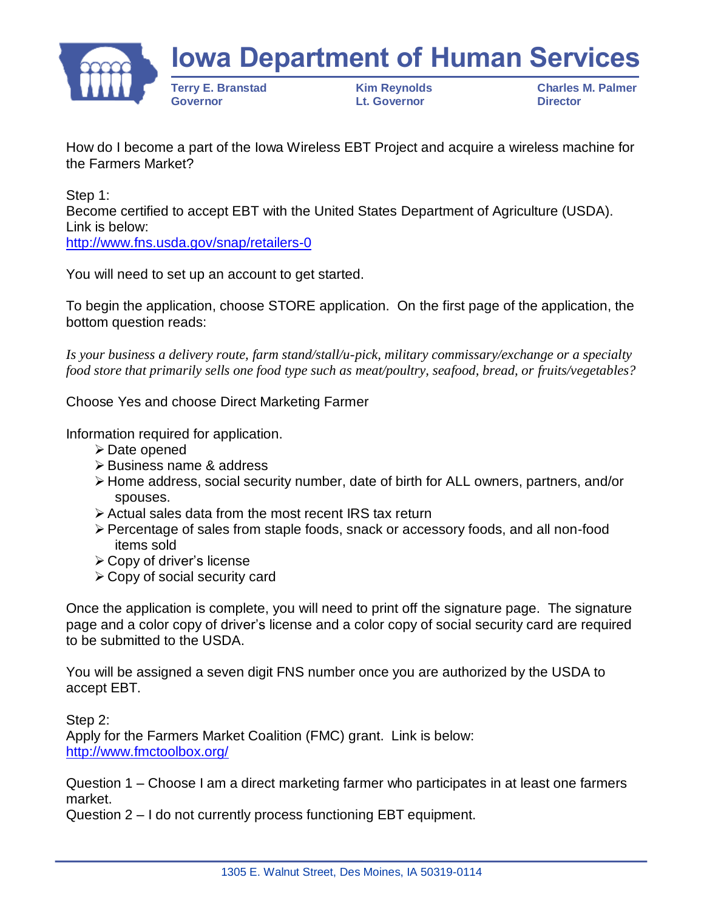

How do I become a part of the Iowa Wireless EBT Project and acquire a wireless machine for the Farmers Market?

Step 1: Become certified to accept EBT with the United States Department of Agriculture (USDA). Link is below: <http://www.fns.usda.gov/snap/retailers-0>

You will need to set up an account to get started.

To begin the application, choose STORE application. On the first page of the application, the bottom question reads:

*Is your business a delivery route, farm stand/stall/u-pick, military commissary/exchange or a specialty food store that primarily sells one food type such as meat/poultry, seafood, bread, or fruits/vegetables?*

Choose Yes and choose Direct Marketing Farmer

Information required for application.

- ➢ Date opened
- ➢ Business name & address
- ➢ Home address, social security number, date of birth for ALL owners, partners, and/or spouses.
- ➢ Actual sales data from the most recent IRS tax return
- ➢ Percentage of sales from staple foods, snack or accessory foods, and all non-food items sold
- ➢ Copy of driver's license
- ➢ Copy of social security card

Once the application is complete, you will need to print off the signature page. The signature page and a color copy of driver's license and a color copy of social security card are required to be submitted to the USDA.

You will be assigned a seven digit FNS number once you are authorized by the USDA to accept EBT.

Step 2: Apply for the Farmers Market Coalition (FMC) grant. Link is below: <http://www.fmctoolbox.org/>

Question 1 – Choose I am a direct marketing farmer who participates in at least one farmers market.

Question 2 – I do not currently process functioning EBT equipment.